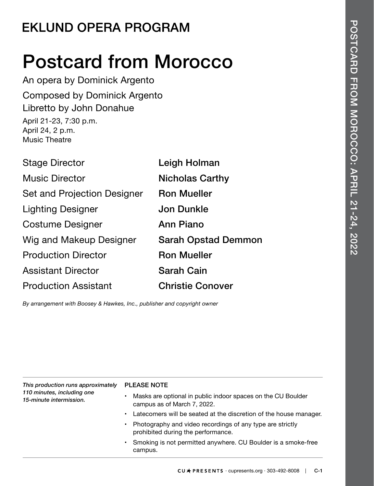## **EKLUND OPERA PROGRAM**

# Postcard from Morocco

An opera by Dominick Argento Composed by Dominick Argento Libretto by John Donahue April 21-23, 7:30 p.m. April 24, 2 p.m. Music Theatre

| <b>Stage Director</b>       | Leigh Holman               |
|-----------------------------|----------------------------|
| <b>Music Director</b>       | <b>Nicholas Carthy</b>     |
| Set and Projection Designer | <b>Ron Mueller</b>         |
| <b>Lighting Designer</b>    | <b>Jon Dunkle</b>          |
| <b>Costume Designer</b>     | <b>Ann Piano</b>           |
| Wig and Makeup Designer     | <b>Sarah Opstad Demmon</b> |
| <b>Production Director</b>  | <b>Ron Mueller</b>         |
| <b>Assistant Director</b>   | <b>Sarah Cain</b>          |
| <b>Production Assistant</b> | <b>Christie Conover</b>    |

*By arrangement with Boosey & Hawkes, Inc., publisher and copyright owner*

*This production runs approximately 110 minutes, including one 15-minute intermission.*

#### PLEASE NOTE

- Masks are optional in public indoor spaces on the CU Boulder campus as of March 7, 2022.
- Latecomers will be seated at the discretion of the house manager.
- Photography and video recordings of any type are strictly prohibited during the performance.
- Smoking is not permitted anywhere. CU Boulder is a smoke-free campus.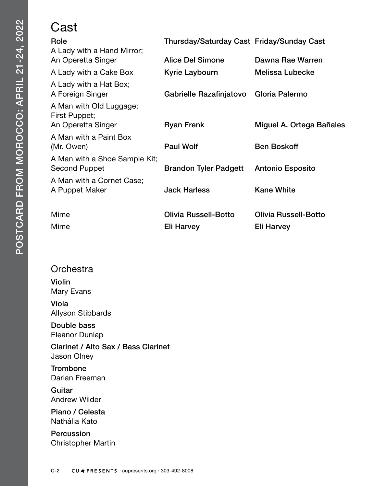#### Cast

| Role<br>A Lady with a Hand Mirror;             | Thursday/Saturday Cast Friday/Sunday Cast |                             |
|------------------------------------------------|-------------------------------------------|-----------------------------|
| An Operetta Singer                             | <b>Alice Del Simone</b>                   | Dawna Rae Warren            |
| A Lady with a Cake Box                         | Kyrie Laybourn                            | Melissa Lubecke             |
| A Lady with a Hat Box;<br>A Foreign Singer     | Gabrielle Razafinjatovo Gloria Palermo    |                             |
| A Man with Old Luggage;<br>First Puppet;       |                                           |                             |
| An Operetta Singer                             | <b>Ryan Frenk</b>                         | Miguel A. Ortega Bañales    |
| A Man with a Paint Box<br>(Mr. Owen)           | <b>Paul Wolf</b>                          | <b>Ben Boskoff</b>          |
| A Man with a Shoe Sample Kit;<br>Second Puppet | <b>Brandon Tyler Padgett</b>              | <b>Antonio Esposito</b>     |
| A Man with a Cornet Case;<br>A Puppet Maker    | <b>Jack Harless</b>                       | <b>Kane White</b>           |
| Mime                                           | Olivia Russell-Botto                      | <b>Olivia Russell-Botto</b> |
| Mime                                           | Eli Harvey                                | Eli Harvey                  |

#### **Orchestra**

Violin Mary Evans

Viola Allyson Stibbards

Double bass Eleanor Dunlap

Clarinet / Alto Sax / Bass Clarinet Jason Olney

**Trombone** Darian Freeman

**Guitar** Andrew Wilder

Piano / Celesta Nathália Kato

Percussion Christopher Martin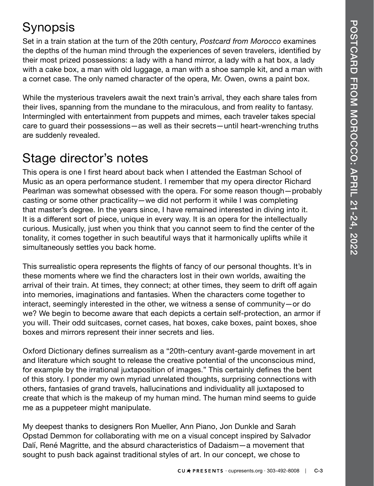### Synopsis

Set in a train station at the turn of the 20th century, *Postcard from Morocco* examines the depths of the human mind through the experiences of seven travelers, identified by their most prized possessions: a lady with a hand mirror, a lady with a hat box, a lady with a cake box, a man with old luggage, a man with a shoe sample kit, and a man with a cornet case. The only named character of the opera, Mr. Owen, owns a paint box.

While the mysterious travelers await the next train's arrival, they each share tales from their lives, spanning from the mundane to the miraculous, and from reality to fantasy. Intermingled with entertainment from puppets and mimes, each traveler takes special care to guard their possessions—as well as their secrets—until heart-wrenching truths are suddenly revealed.

### Stage director's notes

This opera is one I first heard about back when I attended the Eastman School of Music as an opera performance student. I remember that my opera director Richard Pearlman was somewhat obsessed with the opera. For some reason though—probably casting or some other practicality—we did not perform it while I was completing that master's degree. In the years since, I have remained interested in diving into it. It is a different sort of piece, unique in every way. It is an opera for the intellectually curious. Musically, just when you think that you cannot seem to find the center of the tonality, it comes together in such beautiful ways that it harmonically uplifts while it simultaneously settles you back home.

This surrealistic opera represents the flights of fancy of our personal thoughts. It's in these moments where we find the characters lost in their own worlds, awaiting the arrival of their train. At times, they connect; at other times, they seem to drift off again into memories, imaginations and fantasies. When the characters come together to interact, seemingly interested in the other, we witness a sense of community—or do we? We begin to become aware that each depicts a certain self-protection, an armor if you will. Their odd suitcases, cornet cases, hat boxes, cake boxes, paint boxes, shoe boxes and mirrors represent their inner secrets and lies.

Oxford Dictionary defines surrealism as a "20th-century avant-garde movement in art and literature which sought to release the creative potential of the unconscious mind, for example by the irrational juxtaposition of images." This certainly defines the bent of this story. I ponder my own myriad unrelated thoughts, surprising connections with others, fantasies of grand travels, hallucinations and individuality all juxtaposed to create that which is the makeup of my human mind. The human mind seems to guide me as a puppeteer might manipulate.

My deepest thanks to designers Ron Mueller, Ann Piano, Jon Dunkle and Sarah Opstad Demmon for collaborating with me on a visual concept inspired by Salvador Dalí, René Magritte, and the absurd characteristics of Dadaism—a movement that sought to push back against traditional styles of art. In our concept, we chose to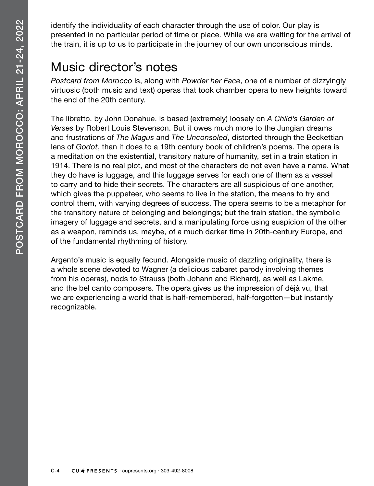identify the individuality of each character through the use of color. Our play is presented in no particular period of time or place. While we are waiting for the arrival of the train, it is up to us to participate in the journey of our own unconscious minds.

### Music director's notes

*Postcard from Morocco* is, along with *Powder her Face*, one of a number of dizzyingly virtuosic (both music and text) operas that took chamber opera to new heights toward the end of the 20th century.

The libretto, by John Donahue, is based (extremely) loosely on *A Child's Garden of Verses* by Robert Louis Stevenson. But it owes much more to the Jungian dreams and frustrations of *The Magus* and *The Unconsoled*, distorted through the Beckettian lens of *Godot*, than it does to a 19th century book of children's poems. The opera is a meditation on the existential, transitory nature of humanity, set in a train station in 1914. There is no real plot, and most of the characters do not even have a name. What they do have is luggage, and this luggage serves for each one of them as a vessel to carry and to hide their secrets. The characters are all suspicious of one another, which gives the puppeteer, who seems to live in the station, the means to try and control them, with varying degrees of success. The opera seems to be a metaphor for the transitory nature of belonging and belongings; but the train station, the symbolic imagery of luggage and secrets, and a manipulating force using suspicion of the other as a weapon, reminds us, maybe, of a much darker time in 20th-century Europe, and of the fundamental rhythming of history.

Argento's music is equally fecund. Alongside music of dazzling originality, there is a whole scene devoted to Wagner (a delicious cabaret parody involving themes from his operas), nods to Strauss (both Johann and Richard), as well as Lakme, and the bel canto composers. The opera gives us the impression of déjà vu, that we are experiencing a world that is half-remembered, half-forgotten—but instantly recognizable.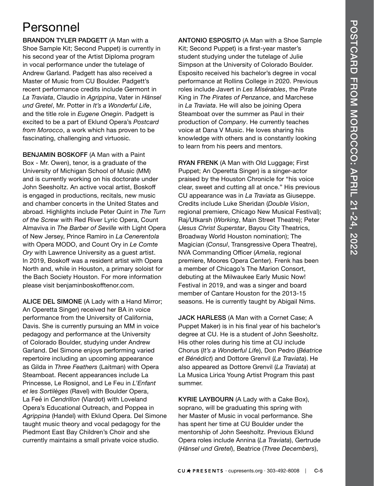### Personnel

BRANDON TYLER PADGETT (A Man with a Shoe Sample Kit; Second Puppet) is currently in his second year of the Artist Diploma program in vocal performance under the tutelage of Andrew Garland. Padgett has also received a Master of Music from CU Boulder. Padgett's recent performance credits include Germont in *La Traviata*, Claudio in *Agrippina*, Vater in *Hänsel und Gretel*, Mr. Potter in *It's a Wonderful Life*, and the title role in *Eugene Onegin*. Padgett is excited to be a part of Eklund Opera's *Postcard from Morocco*, a work which has proven to be fascinating, challenging and virtuosic.

BENJAMIN BOSKOFF (A Man with a Paint Box - Mr. Owen), tenor, is a graduate of the University of Michigan School of Music (MM) and is currently working on his doctorate under John Seesholtz. An active vocal artist, Boskoff is engaged in productions, recitals, new music and chamber concerts in the United States and abroad. Highlights include Peter Quint in *The Turn of the Screw* with Red River Lyric Opera, Count Almaviva in *The Barber of Seville* with Light Opera of New Jersey, Prince Ramiro in *La Cenerentola*  with Opera MODO, and Count Ory in *Le Comte Ory* with Lawrence University as a guest artist. In 2019, Boskoff was a resident artist with Opera North and, while in Houston, a primary soloist for the Bach Society Houston. For more information please visit benjaminboskofftenor.com.

ALICE DEL SIMONE (A Lady with a Hand Mirror; An Operetta Singer) received her BA in voice performance from the University of California, Davis. She is currently pursuing an MM in voice pedagogy and performance at the University of Colorado Boulder, studying under Andrew Garland. Del Simone enjoys performing varied repertoire including an upcoming appearance as Gilda in *Three Feathers* (Laitman) with Opera Steamboat. Recent appearances include La Princesse, Le Rosignol, and Le Feu in *L'Enfant et les Sortilèges* (Ravel) with Boulder Opera, La Feé in *Cendrillon* (Viardot) with Loveland Opera's Educational Outreach, and Poppea in *Agrippina* (Handel) with Eklund Opera. Del Simone taught music theory and vocal pedagogy for the Piedmont East Bay Children's Choir and she currently maintains a small private voice studio.

ANTONIO ESPOSITO (A Man with a Shoe Sample Kit; Second Puppet) is a first-year master's student studying under the tutelage of Julie Simpson at the University of Colorado Boulder. Esposito received his bachelor's degree in vocal performance at Rollins College in 2020. Previous roles include Javert in *Les Misérables*, the Pirate King in *The Pirates of Penzance*, and Marchese in *La Traviata*. He will also be joining Opera Steamboat over the summer as Paul in their production of *Company*. He currently teaches voice at Dana V Music. He loves sharing his knowledge with others and is constantly looking to learn from his peers and mentors.

RYAN FRENK (A Man with Old Luggage; First Puppet; An Operetta Singer) is a singer-actor praised by the Houston Chronicle for "his voice clear, sweet and cutting all at once." His previous CU appearance was in *La Traviata* as Giuseppe. Credits include Luke Sheridan (*Double Vision*, regional premiere, Chicago New Musical Festival); Raj/Utkarsh (*Working*, Main Street Theatre); Peter (*Jesus Christ Superstar*, Bayou City Theatrics, Broadway World Houston nomination); The Magician (*Consul*, Transgressive Opera Theatre), NVA Commanding Officer (*Amelia*, regional premiere, Moores Opera Center). Frenk has been a member of Chicago's The Marion Consort, debuting at the Milwaukee Early Music Now! Festival in 2019, and was a singer and board member of Cantare Houston for the 2013-15 seasons. He is currently taught by Abigail Nims.

JACK HARLESS (A Man with a Cornet Case; A Puppet Maker) is in his final year of his bachelor's degree at CU. He is a student of John Seesholtz. His other roles during his time at CU include Chorus (*It's a Wonderful Life*), Don Pedro (*Béatrice et Bénédict*) and Dottore Grenvil (*La Traviata*). He also appeared as Dottore Grenvil (*La Traviata*) at La Musica Lirica Young Artist Program this past summer.

KYRIE LAYBOURN (A Lady with a Cake Box), soprano, will be graduating this spring with her Master of Music in vocal performance. She has spent her time at CU Boulder under the mentorship of John Seesholtz. Previous Eklund Opera roles include Annina (*La Traviata*), Gertrude (*Hänsel und Gretel*), Beatrice (*Three Decembers*),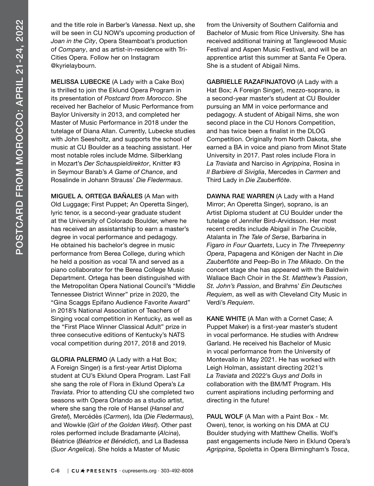and the title role in Barber's *Vanessa*. Next up, she will be seen in CU NOW's upcoming production of *Joan in the City*, Opera Steamboat's production of *Company*, and as artist-in-residence with Tri-Cities Opera. Follow her on Instagram @kyrielaybourn.

MELISSA LUBECKE (A Lady with a Cake Box) is thrilled to join the Eklund Opera Program in its presentation of *Postcard from Morocco*. She received her Bachelor of Music Performance from Baylor University in 2013, and completed her Master of Music Performance in 2018 under the tutelage of Diana Allan. Currently, Lubecke studies with John Seesholtz, and supports the school of music at CU Boulder as a teaching assistant. Her most notable roles include Mdme. Silberklang in Mozart's *Der Schauspieldirektor*, Knitter #3 in Seymour Barab's *A Game of Chance*, and Rosalinde in Johann Strauss' *Die Fledermaus*.

MIGUEL A. ORTEGA BAÑALES (A Man with Old Luggage; First Puppet; An Operetta Singer), lyric tenor, is a second-year graduate student at the University of Colorado Boulder, where he has received an assistantship to earn a master's degree in vocal performance and pedagogy. He obtained his bachelor's degree in music performance from Berea College, during which he held a position as vocal TA and served as a piano collaborator for the Berea College Music Department. Ortega has been distinguished with the Metropolitan Opera National Council's "Middle Tennessee District Winner" prize in 2020, the "Gina Scaggs Epifano Audience Favorite Award" in 2018's National Association of Teachers of Singing vocal competition in Kentucky, as well as the "First Place Winner Classical Adult" prize in three consecutive editions of Kentucky's NATS vocal competition during 2017, 2018 and 2019.

GLORIA PALERMO (A Lady with a Hat Box; A Foreign Singer) is a first-year Artist Diploma student at CU's Eklund Opera Program. Last Fall she sang the role of Flora in Eklund Opera's *La Traviata*. Prior to attending CU she completed two seasons with Opera Orlando as a studio artist, where she sang the role of Hansel (*Hansel and Gretel*), Mercédès (*Carmen*), Ida (*Die Fledermaus*), and Wowkle (*Girl of the Golden West*). Other past roles performed include Bradamante (*Alcina*), Béatrice (*Béatrice et Bénédict*), and La Badessa (*Suor Angelica*). She holds a Master of Music

from the University of Southern California and Bachelor of Music from Rice University. She has received additional training at Tanglewood Music Festival and Aspen Music Festival, and will be an apprentice artist this summer at Santa Fe Opera. She is a student of Abigail Nims.

GABRIELLE RAZAFINJATOVO (A Lady with a Hat Box; A Foreign Singer), mezzo-soprano, is a second-year master's student at CU Boulder pursuing an MM in voice performance and pedagogy. A student of Abigail Nims, she won second place in the CU Honors Competition, and has twice been a finalist in the DLOG Competition. Originally from North Dakota, she earned a BA in voice and piano from Minot State University in 2017. Past roles include Flora in *La Traviata* and Narciso in *Agrippina*, Rosina in *Il Barbiere di Siviglia*, Mercedes in *Carmen* and Third Lady in *Die Zauberflöte*.

DAWNA RAE WARREN (A Lady with a Hand Mirror; An Operetta Singer), soprano, is an Artist Diploma student at CU Boulder under the tutelage of Jennifer Bird-Arvidsson. Her most recent credits include Abigail in *The Crucible*, Atalanta in *The Tale of Serse*, Barbarina in *Figaro in Four Quartets*, Lucy in *The Threepenny Opera*, Papagena and Königen der Nacht in *Die Zauberflöte* and Peep-Bo in *The Mikado*. On the concert stage she has appeared with the Baldwin Wallace Bach Choir in the *St. Matthew's Passion*, *St. John's Passion*, and Brahms' *Ein Deutsches Requiem*, as well as with Cleveland City Music in Verdi's *Requiem*.

KANE WHITE (A Man with a Cornet Case; A Puppet Maker) is a first-year master's student in vocal performance. He studies with Andrew Garland. He received his Bachelor of Music in vocal performance from the University of Montevallo in May 2021. He has worked with Leigh Holman, assistant directing 2021's *La Traviata* and 2022's *Guys and Dolls* in collaboration with the BM/MT Program. HIs current aspirations including performing and directing in the future!

PAUL WOLF (A Man with a Paint Box - Mr. Owen), tenor, is working on his DMA at CU Boulder studying with Matthew Chellis. Wolf's past engagements include Nero in Eklund Opera's *Agrippina*, Spoletta in Opera Birmingham's *Tosca*,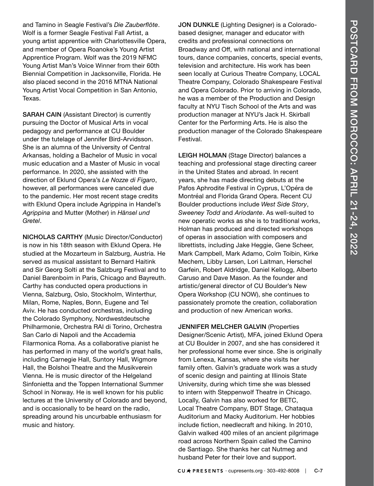and Tamino in Seagle Festival's *Die Zauberflöte*. Wolf is a former Seagle Festival Fall Artist, a young artist apprentice with Charlottesville Opera, and member of Opera Roanoke's Young Artist Apprentice Program. Wolf was the 2019 NFMC Young Artist Man's Voice Winner from their 60th Biennial Competition in Jacksonville, Florida. He also placed second in the 2016 MTNA National Young Artist Vocal Competition in San Antonio, Texas.

SARAH CAIN (Assistant Director) is currently pursuing the Doctor of Musical Arts in vocal pedagogy and performance at CU Boulder under the tutelage of Jennifer Bird-Arvidsson. She is an alumna of the University of Central Arkansas, holding a Bachelor of Music in vocal music education and a Master of Music in vocal performance. In 2020, she assisted with the direction of Eklund Opera's *Le Nozze di Figaro*, however, all performances were canceled due to the pandemic. Her most recent stage credits with Eklund Opera include Agrippina in Handel's *Agrippina* and Mutter (Mother) in *Hänsel und Gretel*.

NICHOLAS CARTHY (Music Director/Conductor) is now in his 18th season with Eklund Opera. He studied at the Mozarteum in Salzburg, Austria. He served as musical assistant to Bernard Haitink and Sir Georg Solti at the Salzburg Festival and to Daniel Barenboim in Paris, Chicago and Bayreuth. Carthy has conducted opera productions in Vienna, Salzburg, Oslo, Stockholm, Winterthur, Milan, Rome, Naples, Bonn, Eugene and Tel Aviv. He has conducted orchestras, including the Colorado Symphony, Nordwestdeutsche Philharmonie, Orchestra RAI di Torino, Orchestra San Carlo di Napoli and the Accademia Filarmonica Roma. As a collaborative pianist he has performed in many of the world's great halls, including Carnegie Hall, Suntory Hall, Wigmore Hall, the Bolshoi Theatre and the Musikverein Vienna. He is music director of the Helgeland Sinfonietta and the Toppen International Summer School in Norway. He is well known for his public lectures at the University of Colorado and beyond, and is occasionally to be heard on the radio, spreading around his uncurbable enthusiasm for music and history.

JON DUNKLE (Lighting Designer) is a Coloradobased designer, manager and educator with credits and professional connections on Broadway and Off, with national and international tours, dance companies, concerts, special events, television and architecture. His work has been seen locally at Curious Theatre Company, LOCAL Theatre Company, Colorado Shakespeare Festival and Opera Colorado. Prior to arriving in Colorado, he was a member of the Production and Design faculty at NYU Tisch School of the Arts and was production manager at NYU's Jack H. Skirball Center for the Performing Arts. He is also the production manager of the Colorado Shakespeare Festival.

LEIGH HOLMAN (Stage Director) balances a teaching and professional stage directing career in the United States and abroad. In recent years, she has made directing debuts at the Pafos Aphrodite Festival in Cyprus, L'Opéra de Montréal and Florida Grand Opera. Recent CU Boulder productions include *West Side Story*, *Sweeney Todd* and *Ariodante*. As well-suited to new operatic works as she is to traditional works, Holman has produced and directed workshops of operas in association with composers and librettists, including Jake Heggie, Gene Scheer, Mark Campbell, Mark Adamo, Colm Toibin, Kirke Mechem, Libby Larsen, Lori Laitman, Herschel Garfein, Robert Aldridge, Daniel Kellogg, Alberto Caruso and Dave Mason. As the founder and artistic/general director of CU Boulder's New Opera Workshop (CU NOW), she continues to passionately promote the creation, collaboration and production of new American works.

JENNIFER MELCHER GALVIN (Properties Designer/Scenic Artist), MFA, joined Eklund Opera at CU Boulder in 2007, and she has considered it her professional home ever since. She is originally from Lenexa, Kansas, where she visits her family often. Galvin's graduate work was a study of scenic design and painting at Illinois State University, during which time she was blessed to intern with Steppenwolf Theatre in Chicago. Locally, Galvin has also worked for BETC, Local Theatre Company, BDT Stage, Chataqua Auditorium and Macky Auditorium. Her hobbies include fiction, needlecraft and hiking. In 2010, Galvin walked 400 miles of an ancient pilgrimage road across Northern Spain called the Camino de Santiago. She thanks her cat Nutmeg and husband Peter for their love and support.